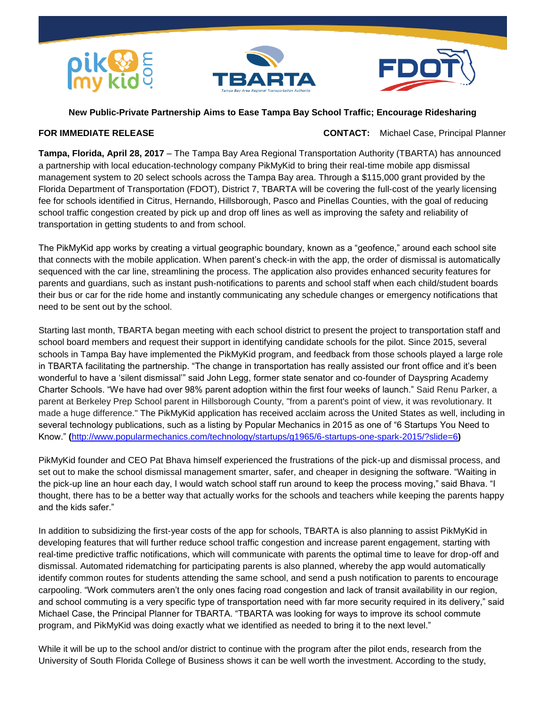





## **New Public-Private Partnership Aims to Ease Tampa Bay School Traffic; Encourage Ridesharing**

**FOR IMMEDIATE RELEASE CONTACT:** Michael Case, Principal Planner

**Tampa, Florida, April 28, 2017** – The Tampa Bay Area Regional Transportation Authority (TBARTA) has announced a partnership with local education-technology company PikMyKid to bring their real-time mobile app dismissal management system to 20 select schools across the Tampa Bay area. Through a \$115,000 grant provided by the Florida Department of Transportation (FDOT), District 7, TBARTA will be covering the full-cost of the yearly licensing fee for schools identified in Citrus, Hernando, Hillsborough, Pasco and Pinellas Counties, with the goal of reducing school traffic congestion created by pick up and drop off lines as well as improving the safety and reliability of transportation in getting students to and from school.

The PikMyKid app works by creating a virtual geographic boundary, known as a "geofence," around each school site that connects with the mobile application. When parent's check-in with the app, the order of dismissal is automatically sequenced with the car line, streamlining the process. The application also provides enhanced security features for parents and guardians, such as instant push-notifications to parents and school staff when each child/student boards their bus or car for the ride home and instantly communicating any schedule changes or emergency notifications that need to be sent out by the school.

Starting last month, TBARTA began meeting with each school district to present the project to transportation staff and school board members and request their support in identifying candidate schools for the pilot. Since 2015, several schools in Tampa Bay have implemented the PikMyKid program, and feedback from those schools played a large role in TBARTA facilitating the partnership. "The change in transportation has really assisted our front office and it's been wonderful to have a 'silent dismissal'" said John Legg, former state senator and co-founder of Dayspring Academy Charter Schools. "We have had over 98% parent adoption within the first four weeks of launch." Said Renu Parker, a parent at Berkeley Prep School parent in Hillsborough County, "from a parent's point of view, it was revolutionary. It made a huge difference." The PikMyKid application has received acclaim across the United States as well, including in several technology publications, such as a listing by Popular Mechanics in 2015 as one of "6 Startups You Need to Know." **(**<http://www.popularmechanics.com/technology/startups/g1965/6-startups-one-spark-2015/?slide=6>**)**

PikMyKid founder and CEO Pat Bhava himself experienced the frustrations of the pick-up and dismissal process, and set out to make the school dismissal management smarter, safer, and cheaper in designing the software. "Waiting in the pick-up line an hour each day, I would watch school staff run around to keep the process moving," said Bhava. "I thought, there has to be a better way that actually works for the schools and teachers while keeping the parents happy and the kids safer."

In addition to subsidizing the first-year costs of the app for schools, TBARTA is also planning to assist PikMyKid in developing features that will further reduce school traffic congestion and increase parent engagement, starting with real-time predictive traffic notifications, which will communicate with parents the optimal time to leave for drop-off and dismissal. Automated ridematching for participating parents is also planned, whereby the app would automatically identify common routes for students attending the same school, and send a push notification to parents to encourage carpooling. "Work commuters aren't the only ones facing road congestion and lack of transit availability in our region, and school commuting is a very specific type of transportation need with far more security required in its delivery," said Michael Case, the Principal Planner for TBARTA. "TBARTA was looking for ways to improve its school commute program, and PikMyKid was doing exactly what we identified as needed to bring it to the next level."

While it will be up to the school and/or district to continue with the program after the pilot ends, research from the University of South Florida College of Business shows it can be well worth the investment. According to the study,